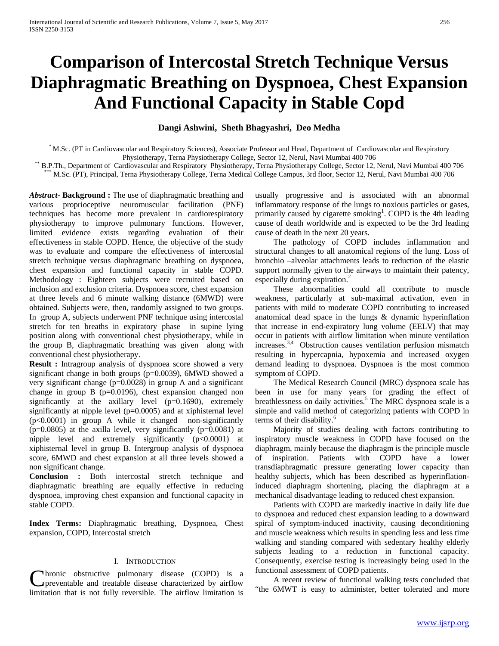# **Comparison of Intercostal Stretch Technique Versus Diaphragmatic Breathing on Dyspnoea, Chest Expansion And Functional Capacity in Stable Copd**

## **Dangi Ashwini, Sheth Bhagyashri, Deo Medha**

\* M.Sc. (PT in Cardiovascular and Respiratory Sciences), Associate Professor and Head, Department of Cardiovascular and Respiratory

B.P.Th., Department of Cardiovascular and Respiratory Physiotherapy, Terna Physiotherapy College, Sector 12, Nerul, Navi Mumbai 400 706 \*\*\* M.Sc. (PT), Principal, Terna Physiotherapy College, Terna Medical College Campus,

*Abstract***- Background :** The use of diaphragmatic breathing and various proprioceptive neuromuscular facilitation (PNF) techniques has become more prevalent in cardiorespiratory physiotherapy to improve pulmonary functions. However, limited evidence exists regarding evaluation of their effectiveness in stable COPD. Hence, the objective of the study was to evaluate and compare the effectiveness of intercostal stretch technique versus diaphragmatic breathing on dyspnoea, chest expansion and functional capacity in stable COPD. Methodology : Eighteen subjects were recruited based on inclusion and exclusion criteria. Dyspnoea score, chest expansion at three levels and 6 minute walking distance (6MWD) were obtained. Subjects were, then, randomly assigned to two groups. In group A, subjects underwent PNF technique using intercostal stretch for ten breaths in expiratory phase in supine lying position along with conventional chest physiotherapy, while in the group B, diaphragmatic breathing was given along with conventional chest physiotherapy.

**Result :** Intragroup analysis of dyspnoea score showed a very significant change in both groups (p=0.0039), 6MWD showed a very significant change (p=0.0028) in group A and a significant change in group B ( $p=0.0196$ ), chest expansion changed non significantly at the axillary level (p=0.1690), extremely significantly at nipple level (p=0.0005) and at xiphisternal level (p<0.0001) in group A while it changed non-significantly  $(p=0.0805)$  at the axilla level, very significantly  $(p=0.0081)$  at nipple level and extremely significantly  $(p<0.0001)$  at xiphisternal level in group B. Intergroup analysis of dyspnoea score, 6MWD and chest expansion at all three levels showed a non significant change.

**Conclusion :** Both intercostal stretch technique and diaphragmatic breathing are equally effective in reducing dyspnoea, improving chest expansion and functional capacity in stable COPD.

**Index Terms:** Diaphragmatic breathing, Dyspnoea, Chest expansion, COPD, Intercostal stretch

#### I. INTRODUCTION

**C**hronic obstructive pulmonary disease (COPD) is a functional assessment of COPD patients.<br>
A recent review of functional walking tests concluded that<br>
limitation that is not fully reversible. The airflow limitation is "t preventable and treatable disease characterized by airflow limitation that is not fully reversible. The airflow limitation is

usually progressive and is associated with an abnormal inflammatory response of the lungs to noxious particles or gases, primarily caused by cigarette smoking<sup>1</sup>. COPD is the 4th leading cause of death worldwide and is expected to be the 3rd leading cause of death in the next 20 years.

 The pathology of COPD includes inflammation and structural changes to all anatomical regions of the lung. Loss of bronchio –alveolar attachments leads to reduction of the elastic support normally given to the airways to maintain their patency, especially during expiration.<sup>2</sup>

 These abnormalities could all contribute to muscle weakness, particularly at sub-maximal activation, even in patients with mild to moderate COPD contributing to increased anatomical dead space in the lungs & dynamic hyperinflation that increase in end-expiratory lung volume (EELV) that may occur in patients with airflow limitation when minute ventilation increases.<sup>3,4</sup> Obstruction causes ventilation perfusion mismatch resulting in hypercapnia, hypoxemia and increased oxygen demand leading to dyspnoea. Dyspnoea is the most common symptom of COPD.

 The Medical Research Council (MRC) dyspnoea scale has been in use for many years for grading the effect of breathlessness on daily activities.<sup>5</sup> The MRC dyspnoea scale is a simple and valid method of categorizing patients with COPD in terms of their disability.<sup>6</sup>

 Majority of studies dealing with factors contributing to inspiratory muscle weakness in COPD have focused on the diaphragm, mainly because the diaphragm is the principle muscle of inspiration. Patients with COPD have a lower transdiaphragmatic pressure generating lower capacity than healthy subjects, which has been described as hyperinflationinduced diaphragm shortening, placing the diaphragm at a mechanical disadvantage leading to reduced chest expansion.

 Patients with COPD are markedly inactive in daily life due to dyspnoea and reduced chest expansion leading to a downward spiral of symptom-induced inactivity, causing deconditioning and muscle weakness which results in spending less and less time walking and standing compared with sedentary healthy elderly subjects leading to a reduction in functional capacity. Consequently, exercise testing is increasingly being used in the functional assessment of COPD patients.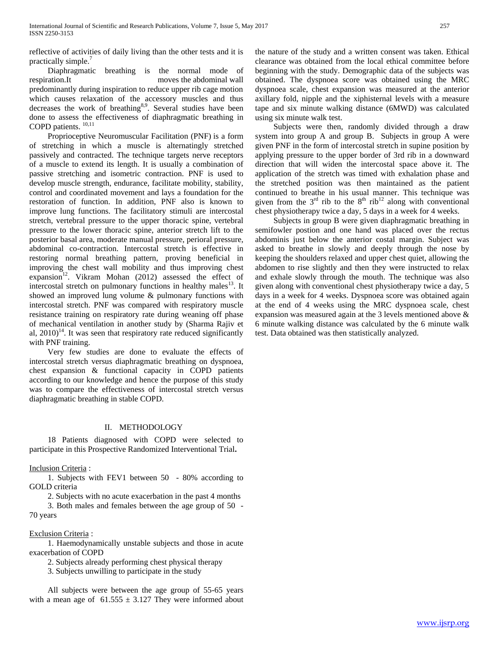reflective of activities of daily living than the other tests and it is practically simple.<sup>7</sup>

 Diaphragmatic breathing is the normal mode of respiration.It moves the abdominal wall predominantly during inspiration to reduce upper rib cage motion which causes relaxation of the accessory muscles and thus decreases the work of breathing<sup>8,9</sup>. Several studies have been done to assess the effectiveness of diaphragmatic breathing in COPD patients.  $^{10,11}$ 

 Proprioceptive Neuromuscular Facilitation (PNF) is a form of stretching in which a muscle is alternatingly stretched passively and contracted. The technique targets nerve receptors of a muscle to extend its length. It is usually a combination of passive stretching and isometric contraction. PNF is used to develop muscle strength, endurance, facilitate mobility, stability, control and coordinated movement and lays a foundation for the restoration of function. In addition, PNF also is known to improve lung functions. The facilitatory stimuli are intercostal stretch, vertebral pressure to the upper thoracic spine, vertebral pressure to the lower thoracic spine, anterior stretch lift to the posterior basal area, moderate manual pressure, perioral pressure, abdominal co-contraction. Intercostal stretch is effective in restoring normal breathing pattern, proving beneficial in improving the chest wall mobility and thus improving chest expansion<sup>12</sup>. Vikram Mohan (2012) assessed the effect of intercostal stretch on pulmonary functions in healthy males<sup>13</sup>. It showed an improved lung volume & pulmonary functions with intercostal stretch. PNF was compared with respiratory muscle resistance training on respiratory rate during weaning off phase of mechanical ventilation in another study by (Sharma Rajiv et al,  $2010$ <sup>14</sup>. It was seen that respiratory rate reduced significantly with PNF training.

 Very few studies are done to evaluate the effects of intercostal stretch versus diaphragmatic breathing on dyspnoea, chest expansion & functional capacity in COPD patients according to our knowledge and hence the purpose of this study was to compare the effectiveness of intercostal stretch versus diaphragmatic breathing in stable COPD.

### II. METHODOLOGY

 18 Patients diagnosed with COPD were selected to participate in this Prospective Randomized Interventional Trial**.**

Inclusion Criteria :

 1. Subjects with FEV1 between 50 - 80% according to GOLD criteria

2. Subjects with no acute exacerbation in the past 4 months

 3. Both males and females between the age group of 50 - 70 years

Exclusion Criteria :

 1. Haemodynamically unstable subjects and those in acute exacerbation of COPD

2. Subjects already performing chest physical therapy

3. Subjects unwilling to participate in the study

 All subjects were between the age group of 55-65 years with a mean age of  $61.555 \pm 3.127$  They were informed about the nature of the study and a written consent was taken. Ethical clearance was obtained from the local ethical committee before beginning with the study. Demographic data of the subjects was obtained. The dyspnoea score was obtained using the MRC dyspnoea scale, chest expansion was measured at the anterior axillary fold, nipple and the xiphisternal levels with a measure tape and six minute walking distance (6MWD) was calculated using six minute walk test.

 Subjects were then, randomly divided through a draw system into group A and group B. Subjects in group A were given PNF in the form of intercostal stretch in supine position by applying pressure to the upper border of 3rd rib in a downward direction that will widen the intercostal space above it. The application of the stretch was timed with exhalation phase and the stretched position was then maintained as the patient continued to breathe in his usual manner. This technique was given from the  $3<sup>rd</sup>$  rib to the  $8<sup>th</sup>$  rib<sup>12</sup> along with conventional chest physiotherapy twice a day, 5 days in a week for 4 weeks.

 Subjects in group B were given diaphragmatic breathing in semifowler postion and one hand was placed over the rectus abdominis just below the anterior costal margin. Subject was asked to breathe in slowly and deeply through the nose by keeping the shoulders relaxed and upper chest quiet, allowing the abdomen to rise slightly and then they were instructed to relax and exhale slowly through the mouth. The technique was also given along with conventional chest physiotherapy twice a day, 5 days in a week for 4 weeks. Dyspnoea score was obtained again at the end of 4 weeks using the MRC dyspnoea scale, chest expansion was measured again at the 3 levels mentioned above & 6 minute walking distance was calculated by the 6 minute walk test. Data obtained was then statistically analyzed.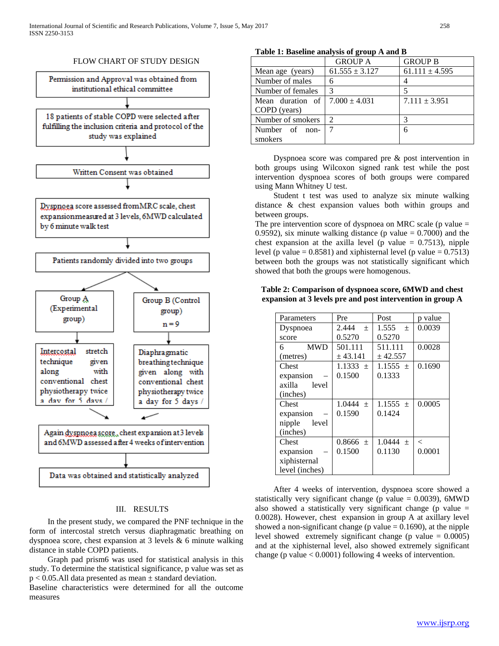

# FLOW CHART OF STUDY DESIGN

# III. RESULTS

 In the present study, we compared the PNF technique in the form of intercostal stretch versus diaphragmatic breathing on dyspnoea score, chest expansion at 3 levels & 6 minute walking distance in stable COPD patients.

 Graph pad prism6 was used for statistical analysis in this study. To determine the statistical significance, p value was set as  $p < 0.05$ . All data presented as mean  $\pm$  standard deviation.

Baseline characteristics were determined for all the outcome measures

# **Table 1: Baseline analysis of group A and B**

|                                              | <b>GROUP A</b>     | <b>GROUP B</b>     |
|----------------------------------------------|--------------------|--------------------|
| Mean age (years)                             | $61.555 \pm 3.127$ | $61.111 \pm 4.595$ |
| Number of males                              |                    |                    |
| Number of females                            | 3                  |                    |
| Mean duration of $\frac{7.000 \pm 4.031}{ }$ |                    | $7.111 \pm 3.951$  |
| COPD (years)                                 |                    |                    |
| Number of smokers                            | $\mathcal{D}$      | 3                  |
| Number of non-                               | 7                  | 6                  |
| smokers                                      |                    |                    |

 Dyspnoea score was compared pre & post intervention in both groups using Wilcoxon signed rank test while the post intervention dyspnoea scores of both groups were compared using Mann Whitney U test.

 Student t test was used to analyze six minute walking distance & chest expansion values both within groups and between groups.

The pre intervention score of dyspnoea on MRC scale ( $p$  value  $=$ 0.9592), six minute walking distance (p value  $= 0.7000$ ) and the chest expansion at the axilla level (p value  $= 0.7513$ ), nipple level (p value =  $0.8581$ ) and xiphisternal level (p value =  $0.7513$ ) between both the groups was not statistically significant which showed that both the groups were homogenous.

## **Table 2: Comparison of dyspnoea score, 6MWD and chest expansion at 3 levels pre and post intervention in group A**

| Parameters      | Pre          | Post                       | p value |
|-----------------|--------------|----------------------------|---------|
| Dyspnoea        | 2.444<br>$+$ | 1.555<br>$\qquad \qquad +$ | 0.0039  |
| score           | 0.5270       | 0.5270                     |         |
| <b>MWD</b><br>6 | 501.111      | 511.111                    | 0.0028  |
| (metres)        | ± 43.141     | ± 42.557                   |         |
| Chest           | $1.1333 \pm$ | $1.1555 \pm$               | 0.1690  |
| expansion       | 0.1500       | 0.1333                     |         |
| axilla<br>level |              |                            |         |
| (inches)        |              |                            |         |
| Chest           | $1.0444 \pm$ | $1.1555 \pm$               | 0.0005  |
| expansion       | 0.1590       | 0.1424                     |         |
| level<br>nipple |              |                            |         |
| (inches)        |              |                            |         |
| Chest           | $0.8666 \pm$ | $1.0444 \pm$               | $\lt$   |
| expansion       | 0.1500       | 0.1130                     | 0.0001  |
| xiphisternal    |              |                            |         |
| level (inches)  |              |                            |         |

 After 4 weeks of intervention, dyspnoea score showed a statistically very significant change (p value  $= 0.0039$ ), 6MWD also showed a statistically very significant change ( $p$  value  $=$ 0.0028). However, chest expansion in group A at axillary level showed a non-significant change ( $p$  value  $= 0.1690$ ), at the nipple level showed extremely significant change (p value  $= 0.0005$ ) and at the xiphisternal level, also showed extremely significant change (p value  $< 0.0001$ ) following 4 weeks of intervention.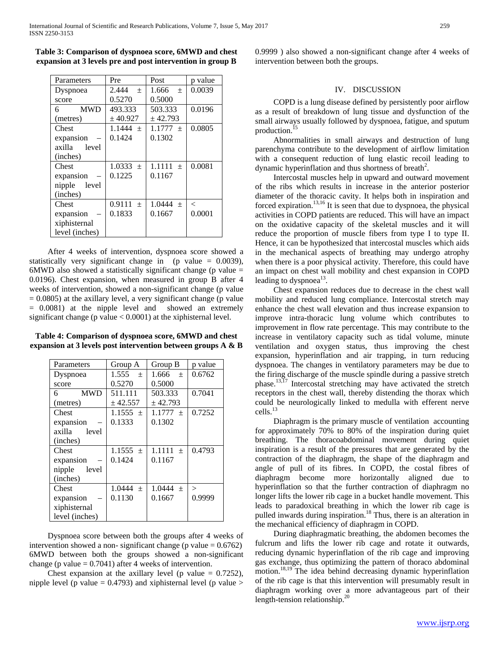**Table 3: Comparison of dyspnoea score, 6MWD and chest expansion at 3 levels pre and post intervention in group B**

| Parameters      | Pre                      | Post                      | p value |
|-----------------|--------------------------|---------------------------|---------|
| Dyspnoea        | 2.444<br>$\! + \!\!\!\!$ | 1.666<br>$\pm$            | 0.0039  |
| score           | 0.5270                   | 0.5000                    |         |
| <b>MWD</b><br>6 | 493.333                  | 503.333                   | 0.0196  |
| (metres)        | ± 40.927                 | ± 42.793                  |         |
| Chest           | $1.1444 +$               | 1.1777<br>$+$             | 0.0805  |
| expansion       | 0.1424                   | 0.1302                    |         |
| axilla<br>level |                          |                           |         |
| (inches)        |                          |                           |         |
| Chest           | $1.0333 \pm$             | 1.1111<br>$\! + \!\!\!\!$ | 0.0081  |
| expansion       | 0.1225                   | 0.1167                    |         |
| level<br>nipple |                          |                           |         |
| (inches)        |                          |                           |         |
| Chest           | 0.9111<br>$^{+}$         | $1.0444 \pm$              | $\,<\,$ |
| expansion       | 0.1833                   | 0.1667                    | 0.0001  |
| xiphisternal    |                          |                           |         |
| level (inches)  |                          |                           |         |

 After 4 weeks of intervention, dyspnoea score showed a statistically very significant change in (p value  $= 0.0039$ ), 6MWD also showed a statistically significant change (p value  $=$ 0.0196). Chest expansion, when measured in group B after 4 weeks of intervention, showed a non-significant change (p value)  $= 0.0805$ ) at the axillary level, a very significant change (p value = 0.0081) at the nipple level and showed an extremely significant change (p value < 0.0001) at the xiphisternal level.

**Table 4: Comparison of dyspnoea score, 6MWD and chest expansion at 3 levels post intervention between groups A & B**

| Parameters       | Group A      | Group B       | p value |
|------------------|--------------|---------------|---------|
| Dyspnoea         | $1.555 +$    | 1.666<br>$+$  | 0.6762  |
| score            | 0.5270       | 0.5000        |         |
| <b>MWD</b><br>6. | 511.111      | 503.333       | 0.7041  |
| (metres)         | ± 42.557     | ± 42.793      |         |
| Chest            | $1.1555 \pm$ | $1.1777 \pm$  | 0.7252  |
| expansion        | 0.1333       | 0.1302        |         |
| axilla<br>level  |              |               |         |
| (inches)         |              |               |         |
| Chest            | 1.1555 $\pm$ | 1.1111<br>$+$ | 0.4793  |
| expansion        | 0.1424       | 0.1167        |         |
| nipple<br>level  |              |               |         |
| (inches)         |              |               |         |
| Chest            | $1.0444 \pm$ | $1.0444 +$    | $\gt$   |
| expansion        | 0.1130       | 0.1667        | 0.9999  |
| xiphisternal     |              |               |         |
| level (inches)   |              |               |         |

 Dyspnoea score between both the groups after 4 weeks of intervention showed a non- significant change (p value  $= 0.6762$ ) 6MWD between both the groups showed a non-significant change (p value  $= 0.7041$ ) after 4 weeks of intervention.

Chest expansion at the axillary level (p value  $= 0.7252$ ), nipple level (p value  $= 0.4793$ ) and xiphisternal level (p value  $>$  0.9999 ) also showed a non-significant change after 4 weeks of intervention between both the groups.

### IV. DISCUSSION

 COPD is a lung disease defined by persistently poor airflow as a result of breakdown of lung tissue and dysfunction of the small airways usually followed by dyspnoea, fatigue, and sputum production.<sup>15</sup>

 Abnormalities in small airways and destruction of lung parenchyma contribute to the development of airflow limitation with a consequent reduction of lung elastic recoil leading to dynamic hyperinflation and thus shortness of breath<sup>2</sup>.

 Intercostal muscles help in upward and outward movement of the ribs which results in increase in the anterior posterior diameter of the thoracic cavity. It helps both in inspiration and forced expiration.<sup>13,16</sup> It is seen that due to dyspnoea, the physical activities in COPD patients are reduced. This will have an impact on the oxidative capacity of the skeletal muscles and it will reduce the proportion of muscle fibers from type I to type II. Hence, it can be hypothesized that intercostal muscles which aids in the mechanical aspects of breathing may undergo atrophy when there is a poor physical activity. Therefore, this could have an impact on chest wall mobility and chest expansion in COPD leading to dyspnoea<sup>13</sup>.

 Chest expansion reduces due to decrease in the chest wall mobility and reduced lung compliance. Intercostal stretch may enhance the chest wall elevation and thus increase expansion to improve intra-thoracic lung volume which contributes to improvement in flow rate percentage. This may contribute to the increase in ventilatory capacity such as tidal volume, minute ventilation and oxygen status, thus improving the chest expansion, hyperinflation and air trapping, in turn reducing dyspnoea. The changes in ventilatory parameters may be due to the firing discharge of the muscle spindle during a passive stretch phase.13,17 Intercostal stretching may have activated the stretch receptors in the chest wall, thereby distending the thorax which could be neurologically linked to medulla with efferent nerve cells.<sup>13</sup>

 Diaphragm is the primary muscle of ventilation accounting for approximately 70% to 80% of the inspiration during quiet breathing. The thoracoabdominal movement during quiet inspiration is a result of the pressures that are generated by the contraction of the diaphragm, the shape of the diaphragm and angle of pull of its fibres. In COPD, the costal fibres of diaphragm become more horizontally aligned due to hyperinflation so that the further contraction of diaphragm no longer lifts the lower rib cage in a bucket handle movement. This leads to paradoxical breathing in which the lower rib cage is pulled inwards during inspiration.<sup>18</sup> Thus, there is an alteration in the mechanical efficiency of diaphragm in COPD.

 During diaphragmatic breathing, the abdomen becomes the fulcrum and lifts the lower rib cage and rotate it outwards, reducing dynamic hyperinflation of the rib cage and improving gas exchange, thus optimizing the pattern of thoraco abdominal motion.18,19 The idea behind decreasing dynamic hyperinflation of the rib cage is that this intervention will presumably result in diaphragm working over a more advantageous part of their length-tension relationship.<sup>20</sup>